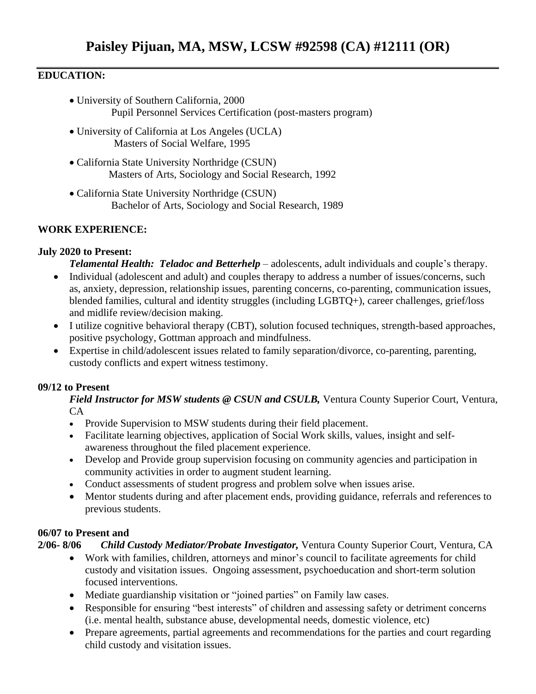### **EDUCATION:**

- University of Southern California, 2000 Pupil Personnel Services Certification (post-masters program)
- University of California at Los Angeles (UCLA) Masters of Social Welfare, 1995
- California State University Northridge (CSUN) Masters of Arts, Sociology and Social Research, 1992
- California State University Northridge (CSUN) Bachelor of Arts, Sociology and Social Research, 1989

# **WORK EXPERIENCE:**

### **July 2020 to Present:**

*Telamental Health: Teladoc and Betterhelp* – adolescents, adult individuals and couple's therapy.

- Individual (adolescent and adult) and couples therapy to address a number of issues/concerns, such as, anxiety, depression, relationship issues, parenting concerns, co-parenting, communication issues, blended families, cultural and identity struggles (including LGBTQ+), career challenges, grief/loss and midlife review/decision making.
- I utilize cognitive behavioral therapy (CBT), solution focused techniques, strength-based approaches, positive psychology, Gottman approach and mindfulness.
- Expertise in child/adolescent issues related to family separation/divorce, co-parenting, parenting, custody conflicts and expert witness testimony.

# **09/12 to Present**

*Field Instructor for MSW students @ CSUN and CSULB,* Ventura County Superior Court, Ventura, CA

- Provide Supervision to MSW students during their field placement.
- Facilitate learning objectives, application of Social Work skills, values, insight and selfawareness throughout the filed placement experience.
- Develop and Provide group supervision focusing on community agencies and participation in community activities in order to augment student learning.
- Conduct assessments of student progress and problem solve when issues arise.
- Mentor students during and after placement ends, providing guidance, referrals and references to previous students.

# **06/07 to Present and**

# **2/06- 8/06** *Child Custody Mediator/Probate Investigator,* Ventura County Superior Court, Ventura, CA

- Work with families, children, attorneys and minor's council to facilitate agreements for child custody and visitation issues. Ongoing assessment, psychoeducation and short-term solution focused interventions.
- Mediate guardianship visitation or "joined parties" on Family law cases.
- Responsible for ensuring "best interests" of children and assessing safety or detriment concerns (i.e. mental health, substance abuse, developmental needs, domestic violence, etc)
- Prepare agreements, partial agreements and recommendations for the parties and court regarding child custody and visitation issues.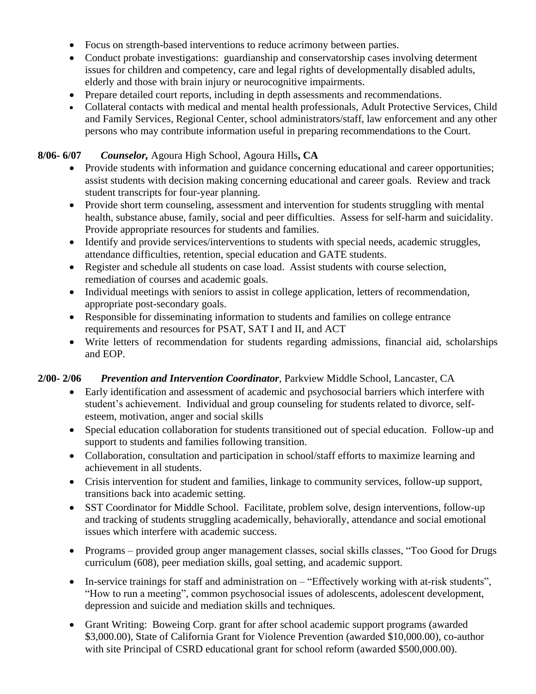- Focus on strength-based interventions to reduce acrimony between parties.
- Conduct probate investigations: guardianship and conservatorship cases involving determent issues for children and competency, care and legal rights of developmentally disabled adults, elderly and those with brain injury or neurocognitive impairments.
- Prepare detailed court reports, including in depth assessments and recommendations.
- Collateral contacts with medical and mental health professionals, Adult Protective Services, Child and Family Services, Regional Center, school administrators/staff, law enforcement and any other persons who may contribute information useful in preparing recommendations to the Court.

#### **8/06- 6/07** *Counselor,* Agoura High School, Agoura Hills**, CA**

- Provide students with information and guidance concerning educational and career opportunities; assist students with decision making concerning educational and career goals. Review and track student transcripts for four-year planning.
- Provide short term counseling, assessment and intervention for students struggling with mental health, substance abuse, family, social and peer difficulties. Assess for self-harm and suicidality. Provide appropriate resources for students and families.
- Identify and provide services/interventions to students with special needs, academic struggles, attendance difficulties, retention, special education and GATE students.
- Register and schedule all students on case load. Assist students with course selection, remediation of courses and academic goals.
- Individual meetings with seniors to assist in college application, letters of recommendation, appropriate post-secondary goals.
- Responsible for disseminating information to students and families on college entrance requirements and resources for PSAT, SAT I and II, and ACT
- Write letters of recommendation for students regarding admissions, financial aid, scholarships and EOP.

### **2/00- 2/06** *Prevention and Intervention Coordinator*, Parkview Middle School, Lancaster, CA

- Early identification and assessment of academic and psychosocial barriers which interfere with student's achievement. Individual and group counseling for students related to divorce, selfesteem, motivation, anger and social skills
- Special education collaboration for students transitioned out of special education. Follow-up and support to students and families following transition.
- Collaboration, consultation and participation in school/staff efforts to maximize learning and achievement in all students.
- Crisis intervention for student and families, linkage to community services, follow-up support, transitions back into academic setting.
- SST Coordinator for Middle School. Facilitate, problem solve, design interventions, follow-up and tracking of students struggling academically, behaviorally, attendance and social emotional issues which interfere with academic success.
- Programs provided group anger management classes, social skills classes, "Too Good for Drugs curriculum (608), peer mediation skills, goal setting, and academic support.
- In-service trainings for staff and administration on "Effectively working with at-risk students", "How to run a meeting", common psychosocial issues of adolescents, adolescent development, depression and suicide and mediation skills and techniques.
- Grant Writing: Boweing Corp. grant for after school academic support programs (awarded \$3,000.00), State of California Grant for Violence Prevention (awarded \$10,000.00), co-author with site Principal of CSRD educational grant for school reform (awarded \$500,000.00).